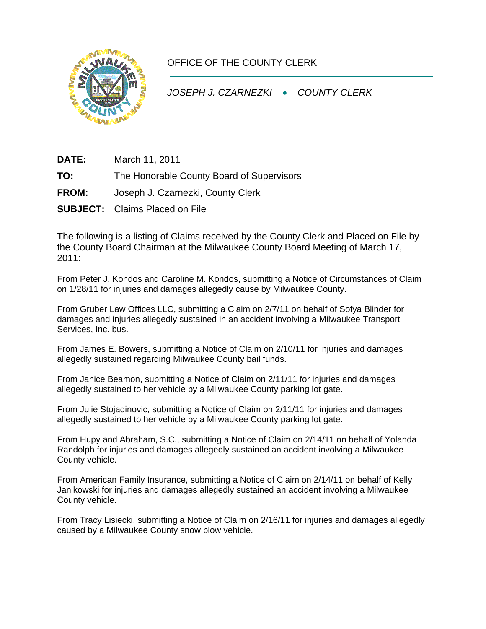

## OFFICE OF THE COUNTY CLERK

*JOSEPH J. CZARNEZKI* • *COUNTY CLERK* 

**DATE:** March 11, 2011

**TO:** The Honorable County Board of Supervisors

- **FROM:** Joseph J. Czarnezki, County Clerk
- **SUBJECT:** Claims Placed on File

The following is a listing of Claims received by the County Clerk and Placed on File by the County Board Chairman at the Milwaukee County Board Meeting of March 17, 2011:

From Peter J. Kondos and Caroline M. Kondos, submitting a Notice of Circumstances of Claim on 1/28/11 for injuries and damages allegedly cause by Milwaukee County.

From Gruber Law Offices LLC, submitting a Claim on 2/7/11 on behalf of Sofya Blinder for damages and injuries allegedly sustained in an accident involving a Milwaukee Transport Services, Inc. bus.

From James E. Bowers, submitting a Notice of Claim on 2/10/11 for injuries and damages allegedly sustained regarding Milwaukee County bail funds.

From Janice Beamon, submitting a Notice of Claim on 2/11/11 for injuries and damages allegedly sustained to her vehicle by a Milwaukee County parking lot gate.

From Julie Stojadinovic, submitting a Notice of Claim on 2/11/11 for injuries and damages allegedly sustained to her vehicle by a Milwaukee County parking lot gate.

From Hupy and Abraham, S.C., submitting a Notice of Claim on 2/14/11 on behalf of Yolanda Randolph for injuries and damages allegedly sustained an accident involving a Milwaukee County vehicle.

From American Family Insurance, submitting a Notice of Claim on 2/14/11 on behalf of Kelly Janikowski for injuries and damages allegedly sustained an accident involving a Milwaukee County vehicle.

From Tracy Lisiecki, submitting a Notice of Claim on 2/16/11 for injuries and damages allegedly caused by a Milwaukee County snow plow vehicle.